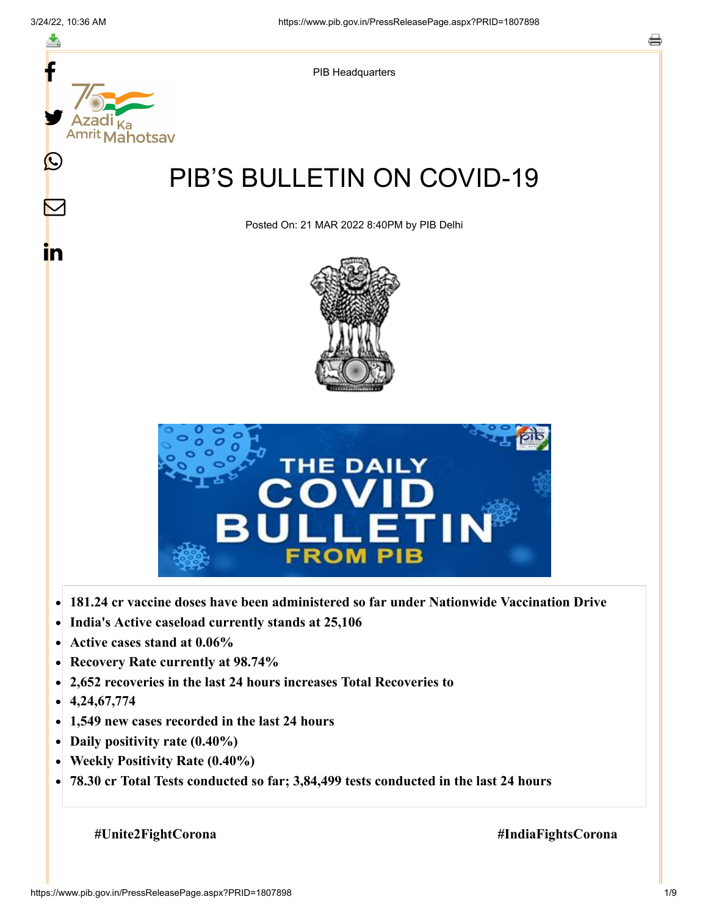

- **Active cases stand at 0.06%**  $\bullet$
- **Recovery Rate currently at 98.74%**  $\bullet$
- **2,652 recoveries in the last 24 hours increases Total Recoveries to**  $\bullet$
- **4,24,67,774**  $\bullet$
- **1,549 new cases recorded in the last 24 hours**  $\bullet$
- **Daily positivity rate (0.40%)**
- **Weekly Positivity Rate (0.40%)**  $\bullet$
- **78.30 cr Total Tests conducted so far; 3,84,499 tests conducted in the last 24 hours**  $\bullet$

**#Unite2FightCorona #IndiaFightsCorona**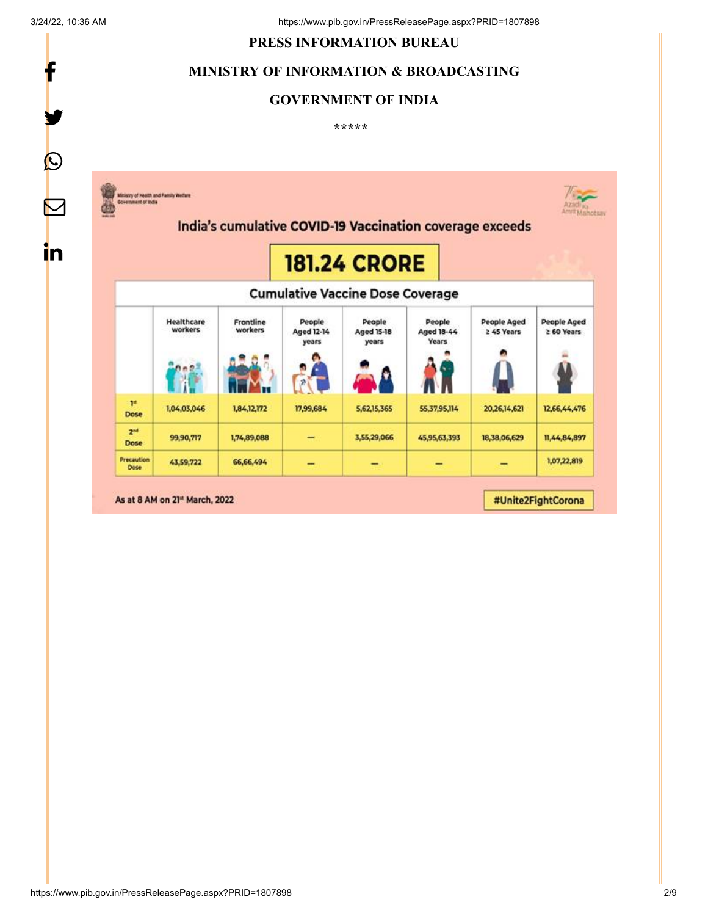f

y.

#### **PRESS INFORMATION BUREAU**

#### **MINISTRY OF INFORMATION & BROADCASTING**

# **GOVERNMENT OF INDIA**

**\*\*\*\*\*** 

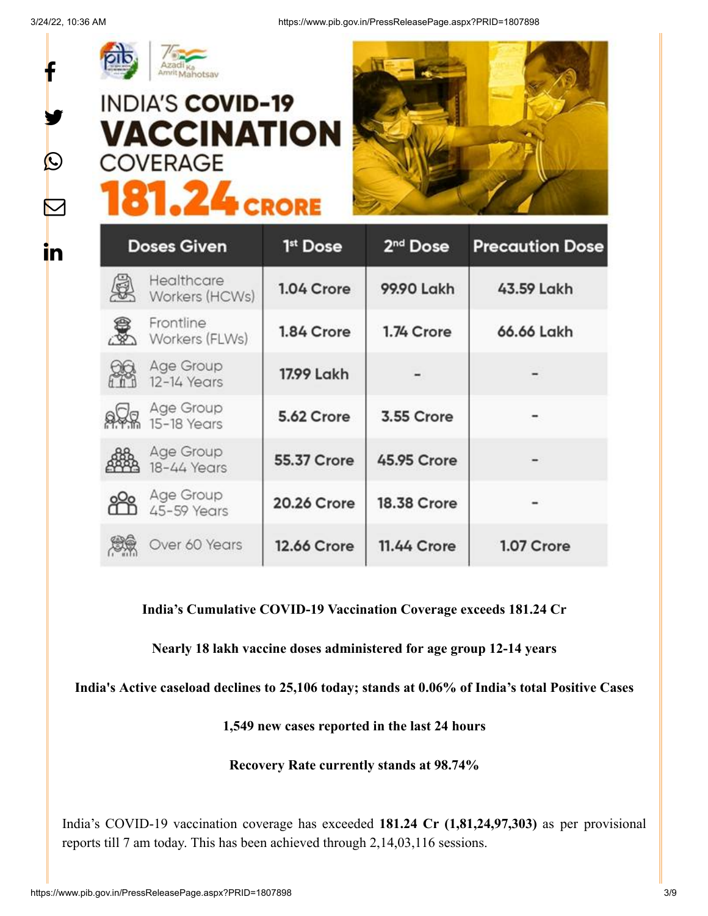f

y.

 $\bigcirc$ 

 $\sum$ 

**in** 



# **INDIA'S COVID-19 VACCINATION COVERAGE 81.24 CRORE**



| <b>Doses Given</b> |                              | 1 <sup>st</sup> Dose | 2 <sup>nd</sup> Dose | <b>Precaution Dose</b> |
|--------------------|------------------------------|----------------------|----------------------|------------------------|
|                    | Healthcare<br>Workers (HCWs) | 1.04 Crore           | 99.90 Lakh           | 43.59 Lakh             |
|                    | Frontline<br>Workers (FLWs)  | 1.84 Crore           | 1.74 Crore           | 66.66 Lakh             |
|                    | Age Group<br>12-14 Years     | 17.99 Lakh           |                      |                        |
|                    | Age Group<br>15-18 Years     | 5.62 Crore           | 3.55 Crore           |                        |
|                    | Age Group<br>18-44 Years     | 55.37 Crore          | <b>45.95 Crore</b>   |                        |
|                    | Age Group<br>45-59 Years     | <b>20.26 Crore</b>   | <b>18.38 Crore</b>   |                        |
|                    | Over 60 Years                | <b>12.66 Crore</b>   | <b>11.44 Crore</b>   | 1.07 Crore             |

# **India's Cumulative COVID-19 Vaccination Coverage exceeds 181.24 Cr**

**Nearly 18 lakh vaccine doses administered for age group 12-14 years**

**India's Active caseload declines to 25,106 today; stands at 0.06% of India's total Positive Cases**

**1,549 new cases reported in the last 24 hours**

**Recovery Rate currently stands at 98.74%**

India's COVID-19 vaccination coverage has exceeded **181.24 Cr (1,81,24,97,303)** as per provisional reports till 7 am today. This has been achieved through 2,14,03,116 sessions.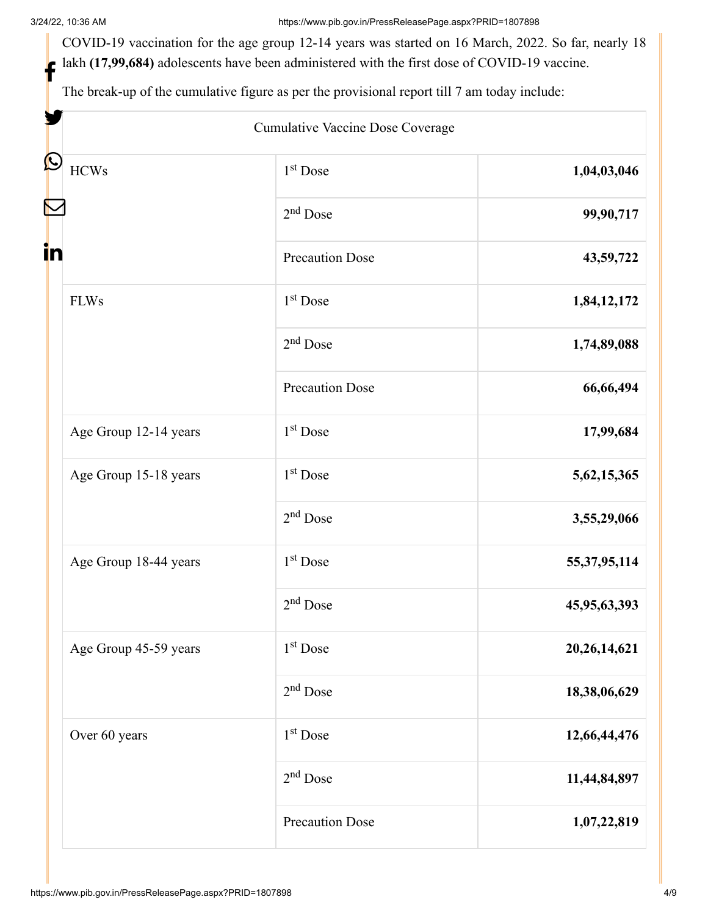3/24/22, 10:36 AM https://www.pib.gov.in/PressReleasePage.aspx?PRID=1807898

COVID-19 vaccination for the age group 12-14 years was started on 16 March, 2022. So far, nearly 18 lakh **(17,99,684)** adolescents have been administered with the first dose of COVID-19 vaccine. f

The break-up of the cumulative figure as per the provisional report till 7 am today include:

|                       | Cumulative Vaccine Dose Coverage |                 |
|-----------------------|----------------------------------|-----------------|
| <b>HCWs</b>           | $1st$ Dose                       | 1,04,03,046     |
|                       | $2nd$ Dose                       | 99,90,717       |
|                       | <b>Precaution Dose</b>           | 43,59,722       |
| <b>FLWs</b>           | 1 <sup>st</sup> Dose             | 1,84,12,172     |
|                       | $2nd$ Dose                       | 1,74,89,088     |
|                       | <b>Precaution Dose</b>           | 66,66,494       |
| Age Group 12-14 years | $1st$ Dose                       | 17,99,684       |
| Age Group 15-18 years | 1 <sup>st</sup> Dose             | 5, 62, 15, 365  |
|                       | $2nd$ Dose                       | 3,55,29,066     |
| Age Group 18-44 years | 1 <sup>st</sup> Dose             | 55, 37, 95, 114 |
|                       | $2nd$ Dose                       | 45,95,63,393    |
| Age Group 45-59 years | $1st$ Dose                       | 20, 26, 14, 621 |
|                       | $2nd$ Dose                       | 18,38,06,629    |
| Over 60 years         | $1st$ Dose                       | 12,66,44,476    |
|                       | $2nd$ Dose                       | 11,44,84,897    |
|                       | <b>Precaution Dose</b>           | 1,07,22,819     |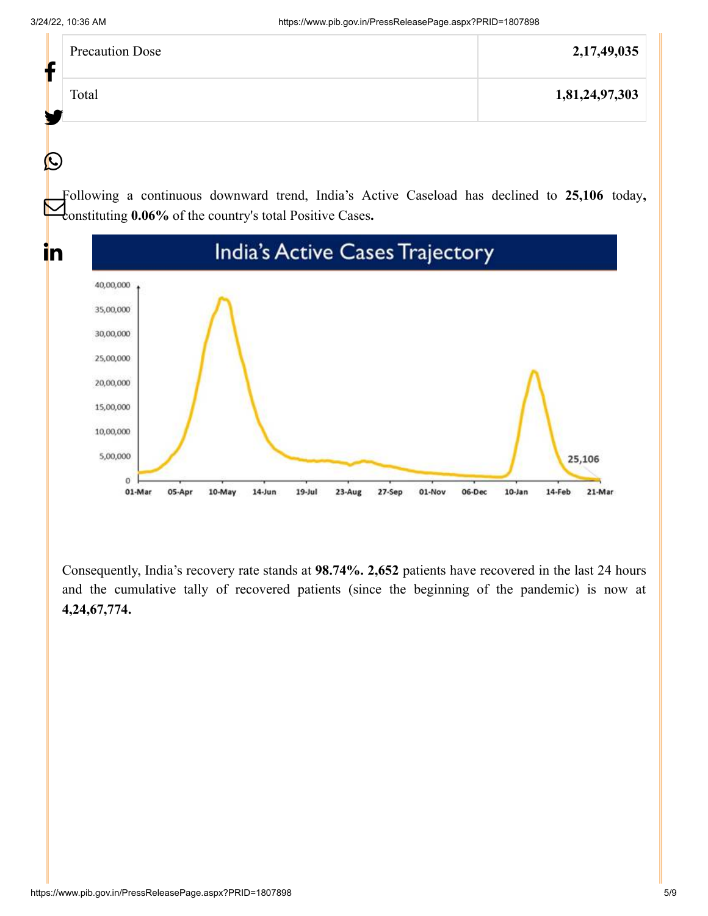$\bigcirc$ 

in

| <b>Precaution Dose</b><br>r | 2, 17, 49, 035 |
|-----------------------------|----------------|
| Total<br>Le                 | 1,81,24,97,303 |
|                             |                |

Following a continuous downward trend, India's Active Caseload has declined to **25,106** today**,** constituting **0.06%** of the country's total Positive Cases**.**



Consequently, India's recovery rate stands at **98.74%. 2,652** patients have recovered in the last 24 hours and the cumulative tally of recovered patients (since the beginning of the pandemic) is now at **4,24,67,774.**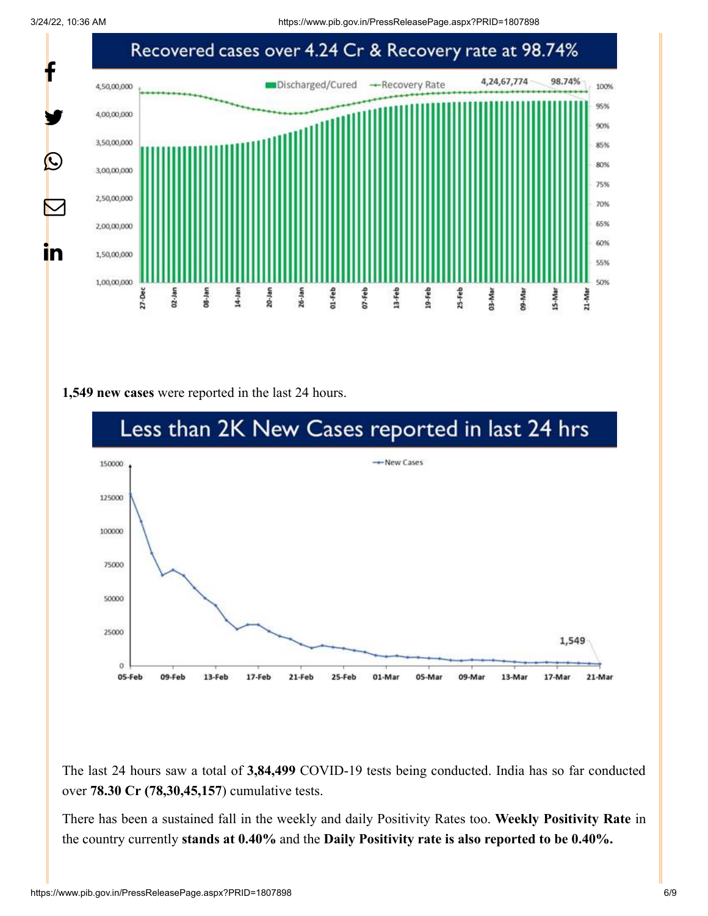3/24/22, 10:36 AM https://www.pib.gov.in/PressReleasePage.aspx?PRID=1807898



#### **1,549 new cases** were reported in the last 24 hours.



The last 24 hours saw a total of **3,84,499** COVID-19 tests being conducted. India has so far conducted over **78.30 Cr (78,30,45,157**) cumulative tests.

There has been a sustained fall in the weekly and daily Positivity Rates too. **Weekly Positivity Rate** in the country currently **stands at 0.40%** and the **Daily Positivity rate is also reported to be 0.40%.**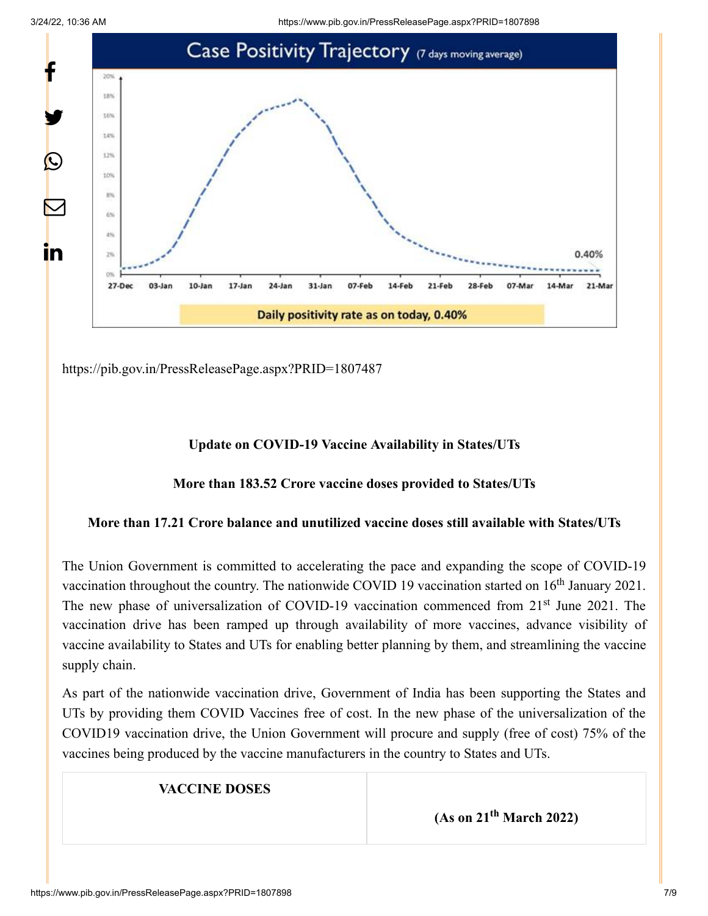3/24/22, 10:36 AM https://www.pib.gov.in/PressReleasePage.aspx?PRID=1807898



<https://pib.gov.in/PressReleasePage.aspx?PRID=1807487>

# **Update on COVID-19 Vaccine Availability in States/UTs**

# **More than 183.52 Crore vaccine doses provided to States/UTs**

#### **More than 17.21 Crore balance and unutilized vaccine doses still available with States/UTs**

The Union Government is committed to accelerating the pace and expanding the scope of COVID-19 vaccination throughout the country. The nationwide COVID 19 vaccination started on  $16<sup>th</sup>$  January 2021. The new phase of universalization of COVID-19 vaccination commenced from 21<sup>st</sup> June 2021. The vaccination drive has been ramped up through availability of more vaccines, advance visibility of vaccine availability to States and UTs for enabling better planning by them, and streamlining the vaccine supply chain.

As part of the nationwide vaccination drive, Government of India has been supporting the States and UTs by providing them COVID Vaccines free of cost. In the new phase of the universalization of the COVID19 vaccination drive, the Union Government will procure and supply (free of cost) 75% of the vaccines being produced by the vaccine manufacturers in the country to States and UTs.

# **VACCINE DOSES**

**(As on 21<sup>th</sup> March 2022)**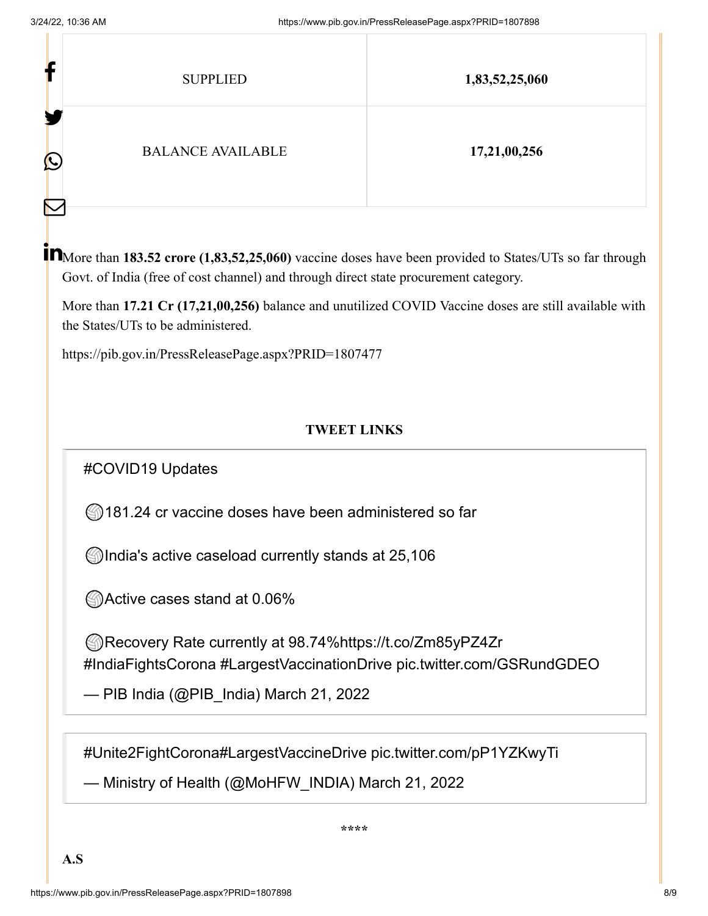| Ŀ                 | <b>SUPPLIED</b>          | 1,83,52,25,060 |
|-------------------|--------------------------|----------------|
| ш<br>$\bf \Omega$ | <b>BALANCE AVAILABLE</b> | 17,21,00,256   |

More than **183.52 crore (1,83,52,25,060)** vaccine doses have been provided to States/UTs so far through Govt. of India (free of cost channel) and through direct state procurement category.

More than **17.21 Cr (17,21,00,256)** balance and unutilized COVID Vaccine doses are still available with the States/UTs to be administered.

<https://pib.gov.in/PressReleasePage.aspx?PRID=1807477>

# **TWEET LINKS**

[#COVID19](https://twitter.com/hashtag/COVID19?src=hash&ref_src=twsrc%5Etfw) Updates

**181.24 cr vaccine doses have been administered so far** 

**India's active caseload currently stands at 25,106** 

Active cases stand at 0.06%

Recovery Rate currently at 98.74%<https://t.co/Zm85yPZ4Zr> [#IndiaFightsCorona](https://twitter.com/hashtag/IndiaFightsCorona?src=hash&ref_src=twsrc%5Etfw) [#LargestVaccinationDrive](https://twitter.com/hashtag/LargestVaccinationDrive?src=hash&ref_src=twsrc%5Etfw) [pic.twitter.com/GSRundGDEO](https://t.co/GSRundGDEO)

— PIB India (@PIB\_India) [March 21, 2022](https://twitter.com/PIB_India/status/1505779755144327169?ref_src=twsrc%5Etfw)

[#Unite2FightCorona](https://twitter.com/hashtag/Unite2FightCorona?src=hash&ref_src=twsrc%5Etfw)[#LargestVaccineDrive](https://twitter.com/hashtag/LargestVaccineDrive?src=hash&ref_src=twsrc%5Etfw) [pic.twitter.com/pP1YZKwyTi](https://t.co/pP1YZKwyTi)

— Ministry of Health (@MoHFW\_INDIA) [March 21, 2022](https://twitter.com/MoHFW_INDIA/status/1505781447369854976?ref_src=twsrc%5Etfw)

**\*\*\*\***